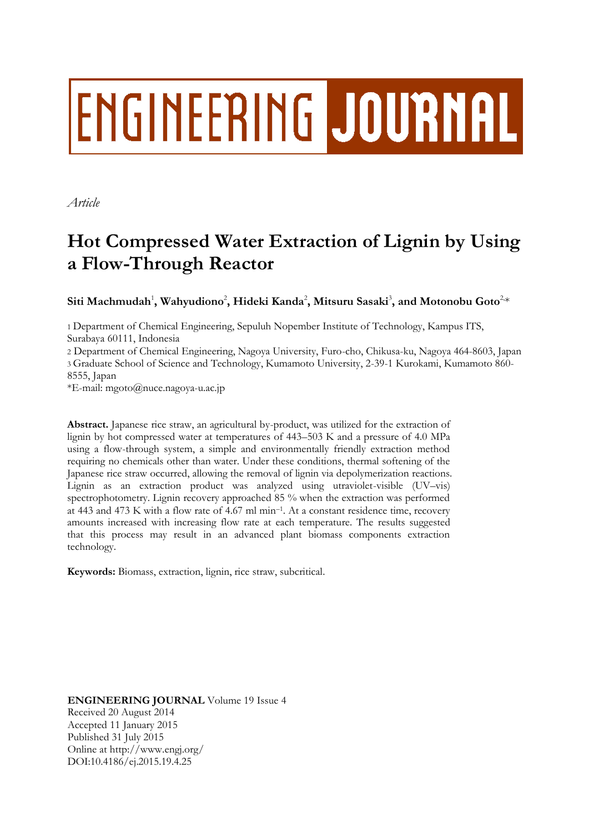# **ENGINEERING JOURNAL**

*Article*

## **Hot Compressed Water Extraction of Lignin by Using a Flow-Through Reactor**

 $\mathbf{S}$ iti Machmudah<sup>1</sup>, Wahyudiono<sup>2</sup>, Hideki Kanda<sup>2</sup>, Mitsuru Sasaki<sup>3</sup>, and Motonobu Goto<sup>2,</sup>\*

1 Department of Chemical Engineering, Sepuluh Nopember Institute of Technology, Kampus ITS, Surabaya 60111, Indonesia

2 Department of Chemical Engineering, Nagoya University, Furo-cho, Chikusa-ku, Nagoya 464-8603, Japan 3 Graduate School of Science and Technology, Kumamoto University, 2-39-1 Kurokami, Kumamoto 860- 8555, Japan

\*E-mail: mgoto@nuce.nagoya-u.ac.jp

**Abstract.** Japanese rice straw, an agricultural by-product, was utilized for the extraction of lignin by hot compressed water at temperatures of 443–503 K and a pressure of 4.0 MPa using a flow-through system, a simple and environmentally friendly extraction method requiring no chemicals other than water. Under these conditions, thermal softening of the Japanese rice straw occurred, allowing the removal of lignin via depolymerization reactions. Lignin as an extraction product was analyzed using utraviolet-visible (UV–vis) spectrophotometry. Lignin recovery approached 85 % when the extraction was performed at 443 and 473 K with a flow rate of 4.67 ml min–<sup>1</sup> . At a constant residence time, recovery amounts increased with increasing flow rate at each temperature. The results suggested that this process may result in an advanced plant biomass components extraction technology.

**Keywords:** Biomass, extraction, lignin, rice straw, subcritical.

**ENGINEERING JOURNAL** Volume 19 Issue 4 Received 20 August 2014 Accepted 11 January 2015 Published 31 July 2015 Online at http://www.engj.org/ DOI:10.4186/ej.2015.19.4.25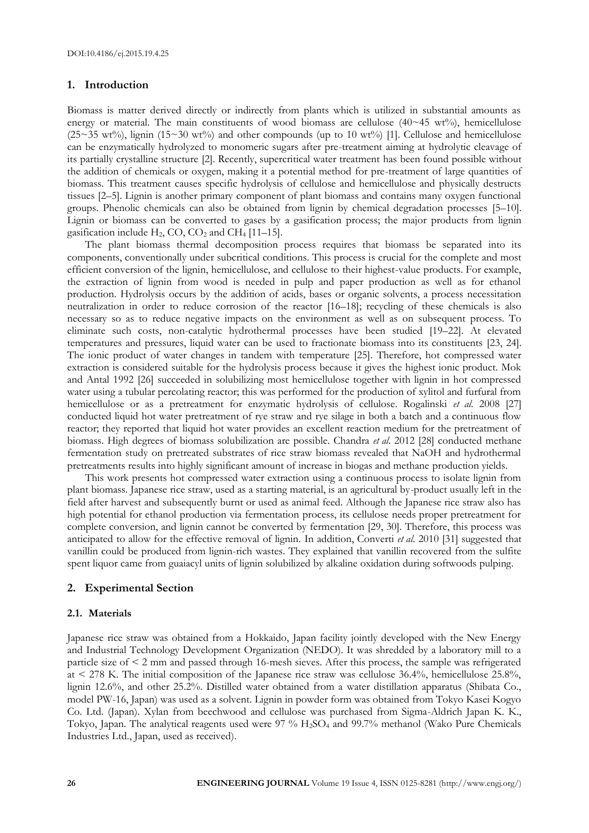#### **1. Introduction**

Biomass is matter derived directly or indirectly from plants which is utilized in substantial amounts as energy or material. The main constituents of wood biomass are cellulose  $(40~45~{\rm wt\%})$ , hemicellulose ( $25~35~\text{wt}\%$ ), lignin ( $15~30~\text{wt}\%$ ) and other compounds (up to 10 wt $\%$ ) [1]. Cellulose and hemicellulose can be enzymatically hydrolyzed to monomeric sugars after pre-treatment aiming at hydrolytic cleavage of its partially crystalline structure [2]. Recently, supercritical water treatment has been found possible without the addition of chemicals or oxygen, making it a potential method for pre-treatment of large quantities of biomass. This treatment causes specific hydrolysis of cellulose and hemicellulose and physically destructs tissues [2–5]. Lignin is another primary component of plant biomass and contains many oxygen functional groups. Phenolic chemicals can also be obtained from lignin by chemical degradation processes [5–10]. Lignin or biomass can be converted to gases by a gasification process; the major products from lignin gasification include  $H_2$ , CO, CO<sub>2</sub> and CH<sub>4</sub> [11–15].

The plant biomass thermal decomposition process requires that biomass be separated into its components, conventionally under subcritical conditions. This process is crucial for the complete and most efficient conversion of the lignin, hemicellulose, and cellulose to their highest-value products. For example, the extraction of lignin from wood is needed in pulp and paper production as well as for ethanol production. Hydrolysis occurs by the addition of acids, bases or organic solvents, a process necessitation neutralization in order to reduce corrosion of the reactor [16–18]; recycling of these chemicals is also necessary so as to reduce negative impacts on the environment as well as on subsequent process. To eliminate such costs, non-catalytic hydrothermal processes have been studied [19–22]. At elevated temperatures and pressures, liquid water can be used to fractionate biomass into its constituents [23, 24]. The ionic product of water changes in tandem with temperature [25]. Therefore, hot compressed water extraction is considered suitable for the hydrolysis process because it gives the highest ionic product. Mok and Antal 1992 [26] succeeded in solubilizing most hemicellulose together with lignin in hot compressed water using a tubular percolating reactor; this was performed for the production of xylitol and furfural from hemicellulose or as a pretreatment for enzymatic hydrolysis of cellulose. Rogalinski *et al*. 2008 [27] conducted liquid hot water pretreatment of rye straw and rye silage in both a batch and a continuous flow reactor; they reported that liquid hot water provides an excellent reaction medium for the pretreatment of biomass. High degrees of biomass solubilization are possible. Chandra *et al*. 2012 [28] conducted methane fermentation study on pretreated substrates of rice straw biomass revealed that NaOH and hydrothermal pretreatments results into highly significant amount of increase in biogas and methane production yields.

This work presents hot compressed water extraction using a continuous process to isolate lignin from plant biomass. Japanese rice straw, used as a starting material, is an agricultural by-product usually left in the field after harvest and subsequently burnt or used as animal feed. Although the Japanese rice straw also has high potential for ethanol production via fermentation process, its cellulose needs proper pretreatment for complete conversion, and lignin cannot be converted by fermentation [29, 30]. Therefore, this process was anticipated to allow for the effective removal of lignin. In addition, Converti *et al*. 2010 [31] suggested that vanillin could be produced from lignin-rich wastes. They explained that vanillin recovered from the sulfite spent liquor came from guaiacyl units of lignin solubilized by alkaline oxidation during softwoods pulping.

#### **2. Experimental Section**

#### **2.1. Materials**

Japanese rice straw was obtained from a Hokkaido, Japan facility jointly developed with the New Energy and Industrial Technology Development Organization (NEDO). It was shredded by a laboratory mill to a particle size of < 2 mm and passed through 16-mesh sieves. After this process, the sample was refrigerated at < 278 K. The initial composition of the Japanese rice straw was cellulose 36.4%, hemicellulose 25.8%, lignin 12.6%, and other 25.2%. Distilled water obtained from a water distillation apparatus (Shibata Co., model PW-16, Japan) was used as a solvent. Lignin in powder form was obtained from Tokyo Kasei Kogyo Co. Ltd. (Japan). Xylan from beechwood and cellulose was purchased from Sigma-Aldrich Japan K. K., Tokyo, Japan. The analytical reagents used were  $97\%$  H<sub>2</sub>SO<sub>4</sub> and  $99.7\%$  methanol (Wako Pure Chemicals Industries Ltd., Japan, used as received).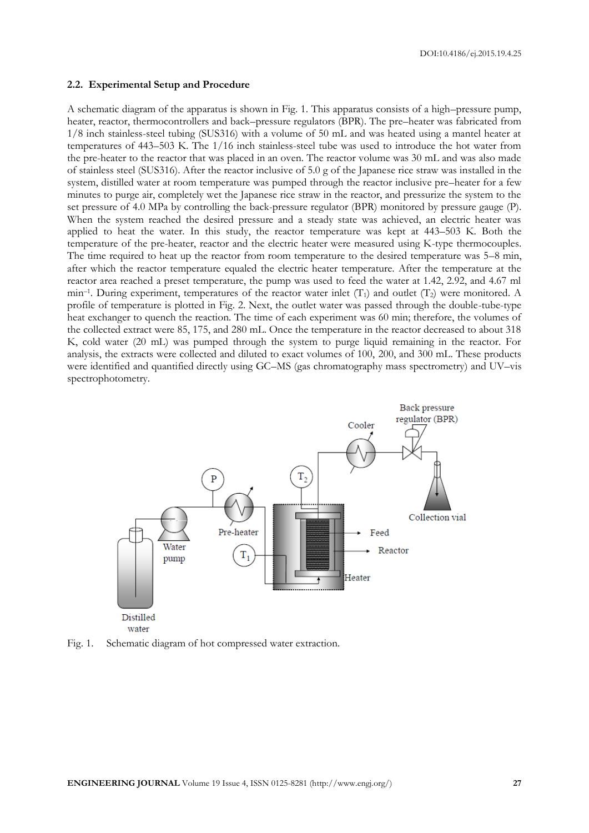#### **2.2. Experimental Setup and Procedure**

A schematic diagram of the apparatus is shown in Fig. 1. This apparatus consists of a high–pressure pump, heater, reactor, thermocontrollers and back–pressure regulators (BPR). The pre–heater was fabricated from 1/8 inch stainless-steel tubing (SUS316) with a volume of 50 mL and was heated using a mantel heater at temperatures of 443–503 K. The 1/16 inch stainless-steel tube was used to introduce the hot water from the pre-heater to the reactor that was placed in an oven. The reactor volume was 30 mL and was also made of stainless steel (SUS316). After the reactor inclusive of 5.0 g of the Japanese rice straw was installed in the system, distilled water at room temperature was pumped through the reactor inclusive pre–heater for a few minutes to purge air, completely wet the Japanese rice straw in the reactor, and pressurize the system to the set pressure of 4.0 MPa by controlling the back-pressure regulator (BPR) monitored by pressure gauge (P). When the system reached the desired pressure and a steady state was achieved, an electric heater was applied to heat the water. In this study, the reactor temperature was kept at 443–503 K. Both the temperature of the pre-heater, reactor and the electric heater were measured using K-type thermocouples. The time required to heat up the reactor from room temperature to the desired temperature was 5–8 min, after which the reactor temperature equaled the electric heater temperature. After the temperature at the reactor area reached a preset temperature, the pump was used to feed the water at 1.42, 2.92, and 4.67 ml min<sup>-1</sup>. During experiment, temperatures of the reactor water inlet  $(T_1)$  and outlet  $(T_2)$  were monitored. A profile of temperature is plotted in Fig. 2. Next, the outlet water was passed through the double-tube-type heat exchanger to quench the reaction. The time of each experiment was 60 min; therefore, the volumes of the collected extract were 85, 175, and 280 mL. Once the temperature in the reactor decreased to about 318 K, cold water (20 mL) was pumped through the system to purge liquid remaining in the reactor. For analysis, the extracts were collected and diluted to exact volumes of 100, 200, and 300 mL. These products were identified and quantified directly using GC–MS (gas chromatography mass spectrometry) and UV–vis spectrophotometry.



Fig. 1. Schematic diagram of hot compressed water extraction.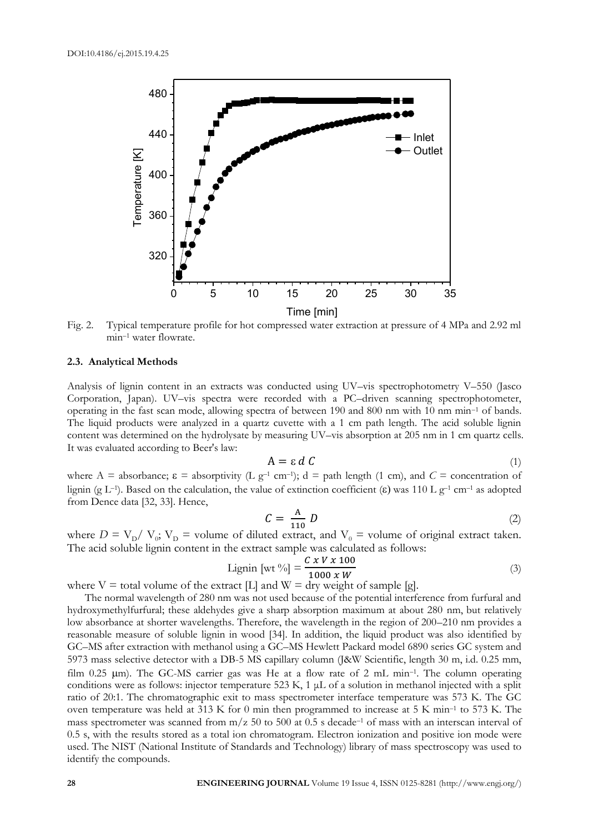

Fig. 2. Typical temperature profile for hot compressed water extraction at pressure of 4 MPa and 2.92 ml min–<sup>1</sup> water flowrate.

#### **2.3. Analytical Methods**

Analysis of lignin content in an extracts was conducted using UV–vis spectrophotometry V–550 (Jasco Corporation, Japan). UV–vis spectra were recorded with a PC–driven scanning spectrophotometer, operating in the fast scan mode, allowing spectra of between 190 and 800 nm with 10 nm min–<sup>1</sup> of bands. The liquid products were analyzed in a quartz cuvette with a 1 cm path length. The acid soluble lignin content was determined on the hydrolysate by measuring UV–vis absorption at 205 nm in 1 cm quartz cells. It was evaluated according to Beer's law:

$$
A = \varepsilon \, d \, C \tag{1}
$$

where A = absorbance;  $\epsilon$  = absorptivity (L g<sup>-1</sup> cm<sup>-1</sup>); d = path length (1 cm), and  $C$  = concentration of lignin (g L<sup>-1</sup>). Based on the calculation, the value of extinction coefficient ( $\varepsilon$ ) was 110 L g<sup>-1</sup> cm<sup>-1</sup> as adopted from Dence data [32, 33]. Hence,

$$
C = \frac{A}{110} D \tag{2}
$$

where  $D = V_D / V_0$ ;  $V_D$  = volume of diluted extract, and  $V_0$  = volume of original extract taken. The acid soluble lignin content in the extract sample was calculated as follows:

Lignin [wt %] = 
$$
\frac{C x V x 100}{1000 x W}
$$
 (3)

where  $V =$  total volume of the extract [L] and  $W =$  dry weight of sample [g].

The normal wavelength of 280 nm was not used because of the potential interference from furfural and hydroxymethylfurfural; these aldehydes give a sharp absorption maximum at about 280 nm, but relatively low absorbance at shorter wavelengths. Therefore, the wavelength in the region of 200–210 nm provides a reasonable measure of soluble lignin in wood [34]. In addition, the liquid product was also identified by GC–MS after extraction with methanol using a GC–MS Hewlett Packard model 6890 series GC system and 5973 mass selective detector with a DB-5 MS capillary column (J&W Scientific, length 30 m, i.d. 0.25 mm, film  $0.25$   $\mu$ m). The GC-MS carrier gas was He at a flow rate of 2 mL min<sup>-1</sup>. The column operating conditions were as follows: injector temperature 523 K, 1  $\mu$ L of a solution in methanol injected with a split ratio of 20:1. The chromatographic exit to mass spectrometer interface temperature was 573 K. The GC oven temperature was held at 313 K for 0 min then programmed to increase at 5 K min–<sup>1</sup> to 573 K. The mass spectrometer was scanned from m/z 50 to 500 at 0.5 s decade–<sup>1</sup> of mass with an interscan interval of 0.5 s, with the results stored as a total ion chromatogram. Electron ionization and positive ion mode were used. The NIST (National Institute of Standards and Technology) library of mass spectroscopy was used to identify the compounds.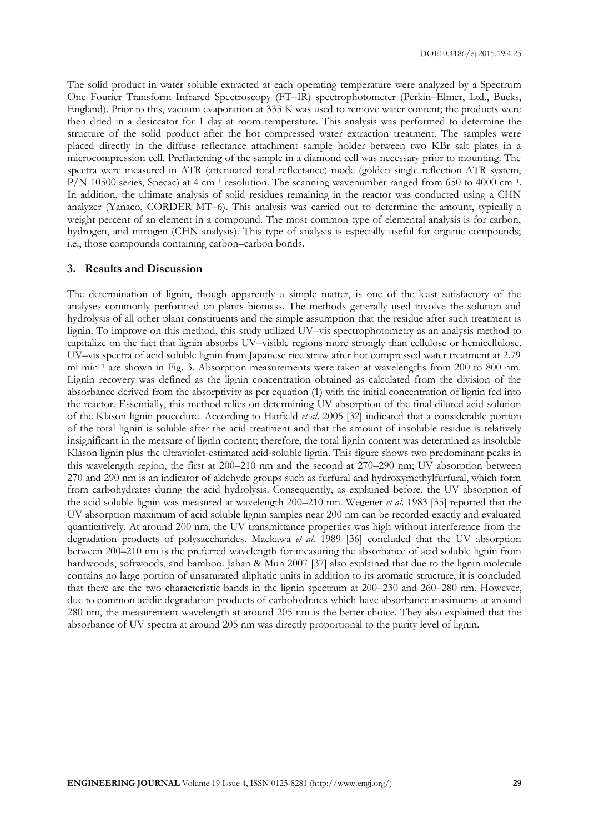The solid product in water soluble extracted at each operating temperature were analyzed by a Spectrum One Fourier Transform Infrared Spectroscopy (FT–IR) spectrophotometer (Perkin–Elmer, Ltd., Bucks, England). Prior to this, vacuum evaporation at 333 K was used to remove water content; the products were then dried in a desiccator for 1 day at room temperature. This analysis was performed to determine the structure of the solid product after the hot compressed water extraction treatment. The samples were placed directly in the diffuse reflectance attachment sample holder between two KBr salt plates in a microcompression cell. Preflattening of the sample in a diamond cell was necessary prior to mounting. The spectra were measured in ATR (attenuated total reflectance) mode (golden single reflection ATR system, P/N 10500 series, Specac) at 4 cm<sup>-1</sup> resolution. The scanning wavenumber ranged from 650 to 4000 cm<sup>-1</sup>. In addition, the ultimate analysis of solid residues remaining in the reactor was conducted using a CHN analyzer (Yanaco, CORDER MT–6). This analysis was carried out to determine the amount, typically a weight percent of an element in a compound. The most common type of elemental analysis is for carbon, hydrogen, and nitrogen (CHN analysis). This type of analysis is especially useful for organic compounds; i.e., those compounds containing carbon–carbon bonds.

#### **3. Results and Discussion**

The determination of lignin, though apparently a simple matter, is one of the least satisfactory of the analyses commonly performed on plants biomass. The methods generally used involve the solution and hydrolysis of all other plant constituents and the simple assumption that the residue after such treatment is lignin. To improve on this method, this study utilized UV–vis spectrophotometry as an analysis method to capitalize on the fact that lignin absorbs UV–visible regions more strongly than cellulose or hemicellulose. UV–vis spectra of acid soluble lignin from Japanese rice straw after hot compressed water treatment at 2.79 ml min–<sup>1</sup> are shown in Fig. 3. Absorption measurements were taken at wavelengths from 200 to 800 nm. Lignin recovery was defined as the lignin concentration obtained as calculated from the division of the absorbance derived from the absorptivity as per equation (1) with the initial concentration of lignin fed into the reactor. Essentially, this method relies on determining UV absorption of the final diluted acid solution of the Klason lignin procedure. According to Hatfield *et al*. 2005 [32] indicated that a considerable portion of the total lignin is soluble after the acid treatment and that the amount of insoluble residue is relatively insignificant in the measure of lignin content; therefore, the total lignin content was determined as insoluble Klason lignin plus the ultraviolet-estimated acid-soluble lignin. This figure shows two predominant peaks in this wavelength region, the first at 200–210 nm and the second at 270–290 nm; UV absorption between 270 and 290 nm is an indicator of aldehyde groups such as furfural and hydroxymethylfurfural, which form from carbohydrates during the acid hydrolysis. Consequently, as explained before, the UV absorption of the acid soluble lignin was measured at wavelength 200–210 nm. Wegener *et al*. 1983 [35] reported that the UV absorption maximum of acid soluble lignin samples near 200 nm can be recorded exactly and evaluated quantitatively. At around 200 nm, the UV transmittance properties was high without interference from the degradation products of polysaccharides. Maekawa *et al*. 1989 [36] concluded that the UV absorption between 200–210 nm is the preferred wavelength for measuring the absorbance of acid soluble lignin from hardwoods, softwoods, and bamboo. Jahan & Mun 2007 [37] also explained that due to the lignin molecule contains no large portion of unsaturated aliphatic units in addition to its aromatic structure, it is concluded that there are the two characteristic bands in the lignin spectrum at 200–230 and 260–280 nm. However, due to common acidic degradation products of carbohydrates which have absorbance maximums at around 280 nm, the measurement wavelength at around 205 nm is the better choice. They also explained that the absorbance of UV spectra at around 205 nm was directly proportional to the purity level of lignin.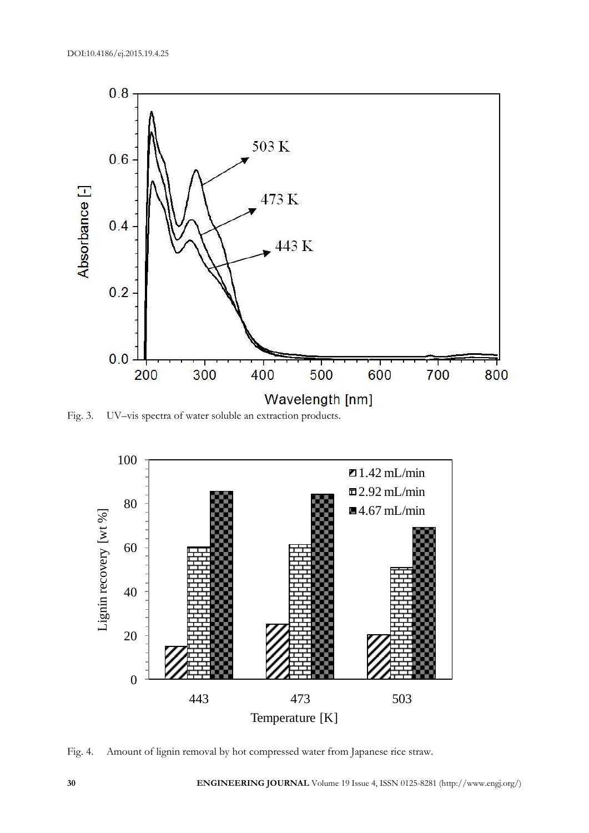

Fig. 3. UV–vis spectra of water soluble an extraction products.



Fig. 4. Amount of lignin removal by hot compressed water from Japanese rice straw.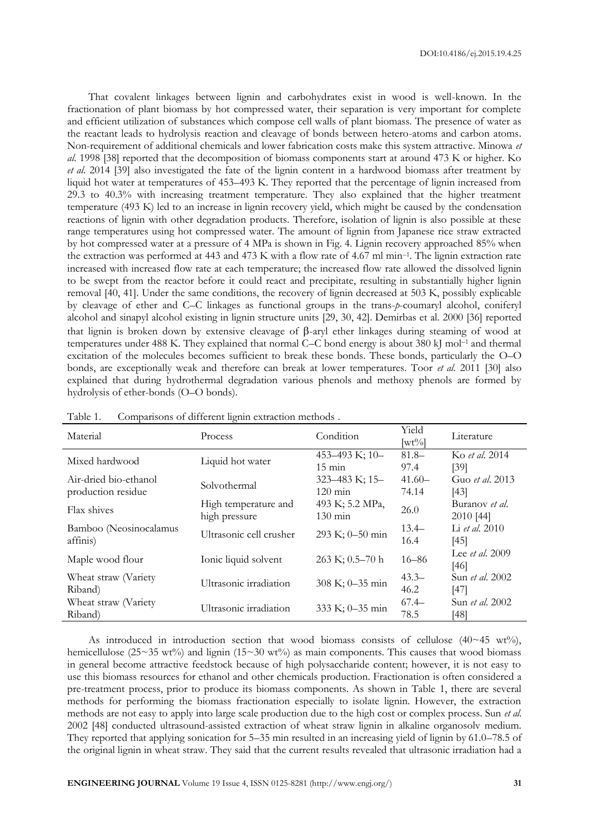That covalent linkages between lignin and carbohydrates exist in wood is well-known. In the fractionation of plant biomass by hot compressed water, their separation is very important for complete and efficient utilization of substances which compose cell walls of plant biomass. The presence of water as the reactant leads to hydrolysis reaction and cleavage of bonds between hetero-atoms and carbon atoms. Non-requirement of additional chemicals and lower fabrication costs make this system attractive. Minowa *et al*. 1998 [38] reported that the decomposition of biomass components start at around 473 K or higher. Ko *et al*. 2014 [39] also investigated the fate of the lignin content in a hardwood biomass after treatment by liquid hot water at temperatures of 453–493 K. They reported that the percentage of lignin increased from 29.3 to 40.3% with increasing treatment temperature. They also explained that the higher treatment temperature (493 K) led to an increase in lignin recovery yield, which might be caused by the condensation reactions of lignin with other degradation products. Therefore, isolation of lignin is also possible at these range temperatures using hot compressed water. The amount of lignin from Japanese rice straw extracted by hot compressed water at a pressure of 4 MPa is shown in Fig. 4. Lignin recovery approached 85% when the extraction was performed at 443 and 473 K with a flow rate of 4.67 ml min–<sup>1</sup> . The lignin extraction rate increased with increased flow rate at each temperature; the increased flow rate allowed the dissolved lignin to be swept from the reactor before it could react and precipitate, resulting in substantially higher lignin removal [40, 41]. Under the same conditions, the recovery of lignin decreased at 503 K, possibly explicable by cleavage of ether and C–C linkages as functional groups in the trans-*p*-coumaryl alcohol, coniferyl alcohol and sinapyl alcohol existing in lignin structure units [29, 30, 42]. Demirbas et al. 2000 [36] reported that lignin is broken down by extensive cleavage of  $\beta$ -aryl ether linkages during steaming of wood at temperatures under 488 K. They explained that normal C–C bond energy is about 380 kJ mol–<sup>1</sup> and thermal excitation of the molecules becomes sufficient to break these bonds. These bonds, particularly the O–O bonds, are exceptionally weak and therefore can break at lower temperatures. Toor *et al*. 2011 [30] also explained that during hydrothermal degradation various phenols and methoxy phenols are formed by hydrolysis of ether-bonds (O–O bonds).

| Material               | Process                 | Condition             | Yield<br>$[\text{wt}\%]$ | Literature             |
|------------------------|-------------------------|-----------------------|--------------------------|------------------------|
| Mixed hardwood         | Liquid hot water        | 453-493 K; 10-        | $81.8 -$                 | Ko <i>et al.</i> 2014  |
|                        |                         | $15 \text{ min}$      | 97.4                     | [39]                   |
| Air-dried bio-ethanol  | Solvothermal            | $323 - 483$ K; $15 -$ | $41.60-$                 | Guo <i>et al.</i> 2013 |
| production residue     |                         | $120 \text{ min}$     | 74.14                    | [43]                   |
|                        | High temperature and    | 493 K; 5.2 MPa,       |                          | Buranov <i>et al.</i>  |
| Flax shives            | high pressure           | $130 \text{ min}$     | 26.0                     | 2010 [44]              |
| Bamboo (Neosinocalamus |                         |                       | $13.4-$                  | Li <i>et al.</i> 2010  |
| affinis)               | Ultrasonic cell crusher | 293 K; 0-50 min       | 16.4                     | [45]                   |
|                        |                         |                       | $16 - 86$                | Lee <i>et al.</i> 2009 |
| Maple wood flour       | Ionic liquid solvent    | $263 K; 0.5 - 70 h$   |                          | [46]                   |
| Wheat straw (Variety   |                         |                       | $43.3 -$                 | Sun <i>et al.</i> 2002 |
| Riband)                | Ultrasonic irradiation  | 308 K; 0-35 min       | 46.2                     | [47]                   |
| Wheat straw (Variety   |                         |                       | $67.4 -$                 | Sun <i>et al.</i> 2002 |
| Riband)                | Ultrasonic irradiation  | 333 K; 0-35 min       | 78.5                     | [48]                   |

| Table 1. | Comparisons of different lignin extraction methods. |  |  |
|----------|-----------------------------------------------------|--|--|
|          |                                                     |  |  |

As introduced in introduction section that wood biomass consists of cellulose (40~45 wt%), hemicellulose (25~35 wt%) and lignin (15~30 wt%) as main components. This causes that wood biomass in general become attractive feedstock because of high polysaccharide content; however, it is not easy to use this biomass resources for ethanol and other chemicals production. Fractionation is often considered a pre-treatment process, prior to produce its biomass components. As shown in Table 1, there are several methods for performing the biomass fractionation especially to isolate lignin. However, the extraction methods are not easy to apply into large scale production due to the high cost or complex process. Sun *et al*. 2002 [48] conducted ultrasound-assisted extraction of wheat straw lignin in alkaline organosolv medium. They reported that applying sonication for 5–35 min resulted in an increasing yield of lignin by 61.0–78.5 of the original lignin in wheat straw. They said that the current results revealed that ultrasonic irradiation had a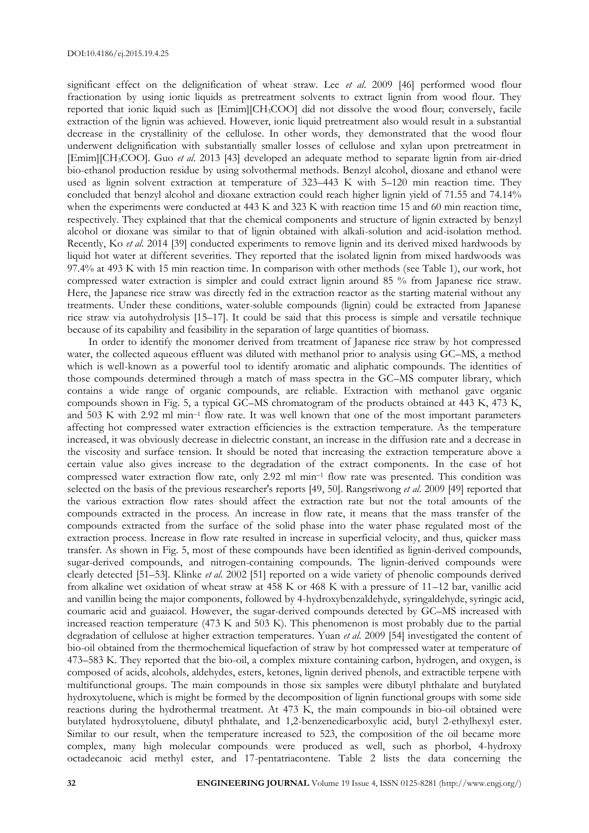significant effect on the delignification of wheat straw. Lee *et al*. 2009 [46] performed wood flour fractionation by using ionic liquids as pretreatment solvents to extract lignin from wood flour. They reported that ionic liquid such as [Emim][CH3COO] did not dissolve the wood flour; conversely, facile extraction of the lignin was achieved. However, ionic liquid pretreatment also would result in a substantial decrease in the crystallinity of the cellulose. In other words, they demonstrated that the wood flour underwent delignification with substantially smaller losses of cellulose and xylan upon pretreatment in [Emim][CH3COO]. Guo *et al*. 2013 [43] developed an adequate method to separate lignin from air-dried bio-ethanol production residue by using solvothermal methods. Benzyl alcohol, dioxane and ethanol were used as lignin solvent extraction at temperature of 323–443 K with 5–120 min reaction time. They concluded that benzyl alcohol and dioxane extraction could reach higher lignin yield of 71.55 and 74.14% when the experiments were conducted at 443 K and 323 K with reaction time 15 and 60 min reaction time, respectively. They explained that that the chemical components and structure of lignin extracted by benzyl alcohol or dioxane was similar to that of lignin obtained with alkali-solution and acid-isolation method. Recently, Ko *et al*. 2014 [39] conducted experiments to remove lignin and its derived mixed hardwoods by liquid hot water at different severities. They reported that the isolated lignin from mixed hardwoods was 97.4% at 493 K with 15 min reaction time. In comparison with other methods (see Table 1), our work, hot compressed water extraction is simpler and could extract lignin around 85 % from Japanese rice straw. Here, the Japanese rice straw was directly fed in the extraction reactor as the starting material without any treatments. Under these conditions, water-soluble compounds (lignin) could be extracted from Japanese rice straw via autohydrolysis [15–17]. It could be said that this process is simple and versatile technique because of its capability and feasibility in the separation of large quantities of biomass.

In order to identify the monomer derived from treatment of Japanese rice straw by hot compressed water, the collected aqueous effluent was diluted with methanol prior to analysis using GC–MS, a method which is well-known as a powerful tool to identify aromatic and aliphatic compounds. The identities of those compounds determined through a match of mass spectra in the GC–MS computer library, which contains a wide range of organic compounds, are reliable. Extraction with methanol gave organic compounds shown in Fig. 5, a typical GC–MS chromatogram of the products obtained at 443 K, 473 K, and 503 K with 2.92 ml min–<sup>1</sup> flow rate. It was well known that one of the most important parameters affecting hot compressed water extraction efficiencies is the extraction temperature. As the temperature increased, it was obviously decrease in dielectric constant, an increase in the diffusion rate and a decrease in the viscosity and surface tension. It should be noted that increasing the extraction temperature above a certain value also gives increase to the degradation of the extract components. In the case of hot compressed water extraction flow rate, only 2.92 ml min–<sup>1</sup> flow rate was presented. This condition was selected on the basis of the previous researcher's reports [49, 50]. Rangsriwong *et al*. 2009 [49] reported that the various extraction flow rates should affect the extraction rate but not the total amounts of the compounds extracted in the process. An increase in flow rate, it means that the mass transfer of the compounds extracted from the surface of the solid phase into the water phase regulated most of the extraction process. Increase in flow rate resulted in increase in superficial velocity, and thus, quicker mass transfer. As shown in Fig. 5, most of these compounds have been identified as lignin-derived compounds, sugar-derived compounds, and nitrogen-containing compounds. The lignin-derived compounds were clearly detected [51–53]. Klinke *et al*. 2002 [51] reported on a wide variety of phenolic compounds derived from alkaline wet oxidation of wheat straw at 458 K or 468 K with a pressure of 11–12 bar, vanillic acid and vanillin being the major components, followed by 4-hydroxybenzaldehyde, syringaldehyde, syringic acid, coumaric acid and guaiacol. However, the sugar-derived compounds detected by GC–MS increased with increased reaction temperature (473 K and 503 K). This phenomenon is most probably due to the partial degradation of cellulose at higher extraction temperatures. Yuan *et al*. 2009 [54] investigated the content of bio-oil obtained from the thermochemical liquefaction of straw by hot compressed water at temperature of 473–583 K. They reported that the bio-oil, a complex mixture containing carbon, hydrogen, and oxygen, is composed of acids, alcohols, aldehydes, esters, ketones, lignin derived phenols, and extractible terpene with multifunctional groups. The main compounds in those six samples were dibutyl phthalate and butylated hydroxytoluene, which is might be formed by the decomposition of lignin functional groups with some side reactions during the hydrothermal treatment. At 473 K, the main compounds in bio-oil obtained were butylated hydroxytoluene, dibutyl phthalate, and 1,2-benzenedicarboxylic acid, butyl 2-ethylhexyl ester. Similar to our result, when the temperature increased to 523, the composition of the oil became more complex, many high molecular compounds were produced as well, such as phorbol, 4-hydroxy octadecanoic acid methyl ester, and 17-pentatriacontene. Table 2 lists the data concerning the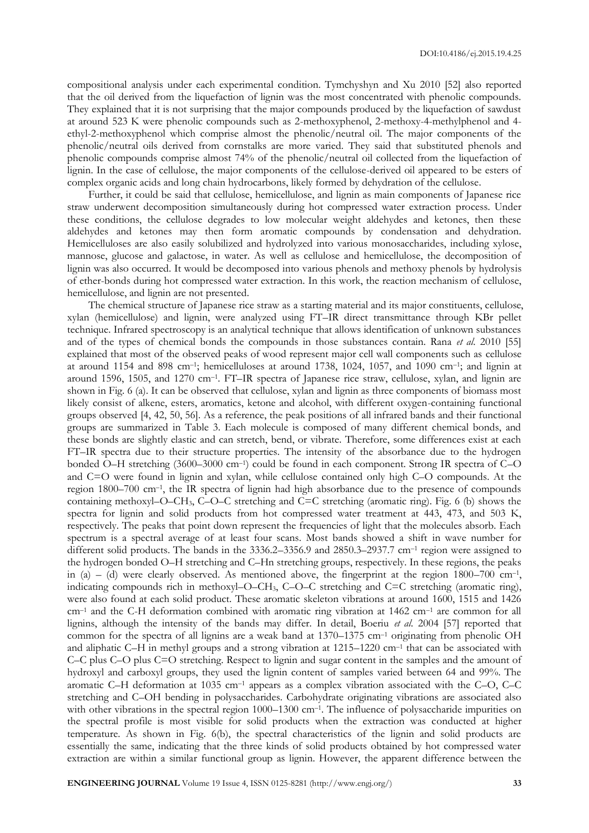compositional analysis under each experimental condition. Tymchyshyn and Xu 2010 [52] also reported that the oil derived from the liquefaction of lignin was the most concentrated with phenolic compounds. They explained that it is not surprising that the major compounds produced by the liquefaction of sawdust at around 523 K were phenolic compounds such as 2-methoxyphenol, 2-methoxy-4-methylphenol and 4 ethyl-2-methoxyphenol which comprise almost the phenolic/neutral oil. The major components of the phenolic/neutral oils derived from cornstalks are more varied. They said that substituted phenols and phenolic compounds comprise almost 74% of the phenolic/neutral oil collected from the liquefaction of lignin. In the case of cellulose, the major components of the cellulose-derived oil appeared to be esters of complex organic acids and long chain hydrocarbons, likely formed by dehydration of the cellulose.

Further, it could be said that cellulose, hemicellulose, and lignin as main components of Japanese rice straw underwent decomposition simultaneously during hot compressed water extraction process. Under these conditions, the cellulose degrades to low molecular weight aldehydes and ketones, then these aldehydes and ketones may then form aromatic compounds by condensation and dehydration. Hemicelluloses are also easily solubilized and hydrolyzed into various monosaccharides, including xylose, mannose, glucose and galactose, in water. As well as cellulose and hemicellulose, the decomposition of lignin was also occurred. It would be decomposed into various phenols and methoxy phenols by hydrolysis of ether-bonds during hot compressed water extraction. In this work, the reaction mechanism of cellulose, hemicellulose, and lignin are not presented.

The chemical structure of Japanese rice straw as a starting material and its major constituents, cellulose, xylan (hemicellulose) and lignin, were analyzed using FT–IR direct transmittance through KBr pellet technique. Infrared spectroscopy is an analytical technique that allows identification of unknown substances and of the types of chemical bonds the compounds in those substances contain. Rana *et al*. 2010 [55] explained that most of the observed peaks of wood represent major cell wall components such as cellulose at around 1154 and 898 cm<sup>-1</sup>; hemicelluloses at around 1738, 1024, 1057, and 1090 cm<sup>-1</sup>; and lignin at around 1596, 1505, and 1270 cm<sup>-1</sup>. FT-IR spectra of Japanese rice straw, cellulose, xylan, and lignin are shown in Fig. 6 (a). It can be observed that cellulose, xylan and lignin as three components of biomass most likely consist of alkene, esters, aromatics, ketone and alcohol, with different oxygen-containing functional groups observed [4, 42, 50, 56]. As a reference, the peak positions of all infrared bands and their functional groups are summarized in Table 3. Each molecule is composed of many different chemical bonds, and these bonds are slightly elastic and can stretch, bend, or vibrate. Therefore, some differences exist at each FT–IR spectra due to their structure properties. The intensity of the absorbance due to the hydrogen bonded O–H stretching (3600–3000 cm–<sup>1</sup> ) could be found in each component. Strong IR spectra of C–O and C=O were found in lignin and xylan, while cellulose contained only high C–O compounds. At the region 1800–700 cm–<sup>1</sup> , the IR spectra of lignin had high absorbance due to the presence of compounds containing methoxyl–O–CH3, C–O–C stretching and C=C stretching (aromatic ring). Fig. 6 (b) shows the spectra for lignin and solid products from hot compressed water treatment at 443, 473, and 503 K, respectively. The peaks that point down represent the frequencies of light that the molecules absorb. Each spectrum is a spectral average of at least four scans. Most bands showed a shift in wave number for different solid products. The bands in the 3336.2–3356.9 and 2850.3–2937.7 cm<sup>-1</sup> region were assigned to the hydrogen bonded O–H stretching and C–Hn stretching groups, respectively. In these regions, the peaks in (a) – (d) were clearly observed. As mentioned above, the fingerprint at the region  $1800-700$  cm<sup>-1</sup>, indicating compounds rich in methoxyl–O–CH3, C–O–C stretching and C=C stretching (aromatic ring), were also found at each solid product. These aromatic skeleton vibrations at around 1600, 1515 and 1426 cm<sup>-1</sup> and the C-H deformation combined with aromatic ring vibration at 1462 cm<sup>-1</sup> are common for all lignins, although the intensity of the bands may differ. In detail, Boeriu *et al*. 2004 [57] reported that common for the spectra of all lignins are a weak band at 1370–1375 cm–<sup>1</sup> originating from phenolic OH and aliphatic C-H in methyl groups and a strong vibration at 1215–1220 cm<sup>-1</sup> that can be associated with C–C plus C–O plus C=O stretching. Respect to lignin and sugar content in the samples and the amount of hydroxyl and carboxyl groups, they used the lignin content of samples varied between 64 and 99%. The aromatic C–H deformation at 1035 cm–<sup>1</sup> appears as a complex vibration associated with the C–O, C–C stretching and C–OH bending in polysaccharides. Carbohydrate originating vibrations are associated also with other vibrations in the spectral region 1000–1300 cm<sup>-1</sup>. The influence of polysaccharide impurities on the spectral profile is most visible for solid products when the extraction was conducted at higher temperature. As shown in Fig. 6(b), the spectral characteristics of the lignin and solid products are essentially the same, indicating that the three kinds of solid products obtained by hot compressed water extraction are within a similar functional group as lignin. However, the apparent difference between the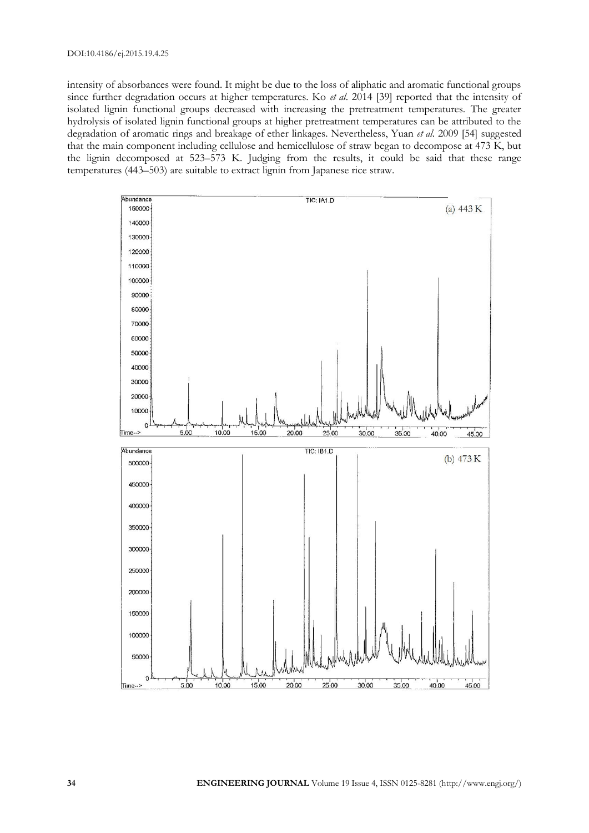intensity of absorbances were found. It might be due to the loss of aliphatic and aromatic functional groups since further degradation occurs at higher temperatures. Ko *et al*. 2014 [39] reported that the intensity of isolated lignin functional groups decreased with increasing the pretreatment temperatures. The greater hydrolysis of isolated lignin functional groups at higher pretreatment temperatures can be attributed to the degradation of aromatic rings and breakage of ether linkages. Nevertheless, Yuan *et al*. 2009 [54] suggested that the main component including cellulose and hemicellulose of straw began to decompose at 473 K, but the lignin decomposed at 523–573 K. Judging from the results, it could be said that these range temperatures (443–503) are suitable to extract lignin from Japanese rice straw.

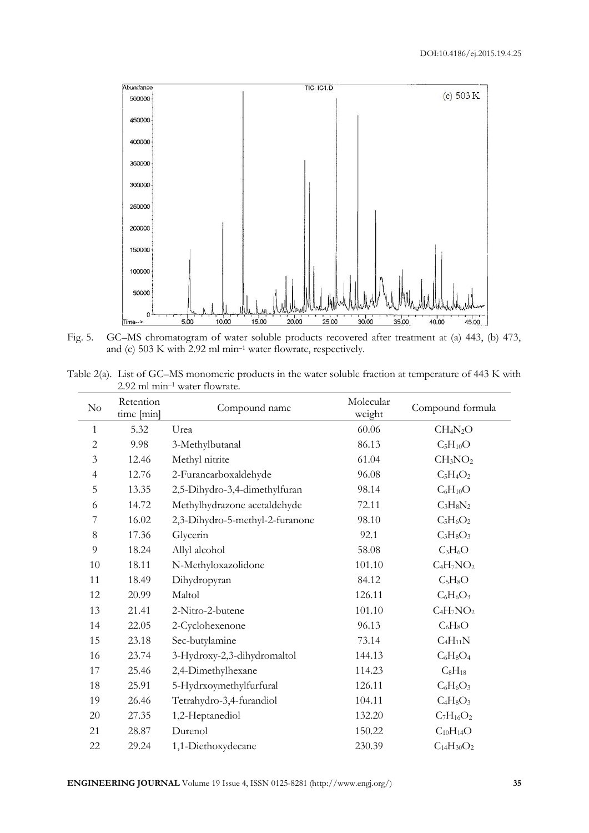

Fig. 5. GC–MS chromatogram of water soluble products recovered after treatment at (a) 443, (b) 473, and (c) 503 K with 2.92 ml min–<sup>1</sup> water flowrate, respectively.

| Table 2(a). List of GC–MS monomeric products in the water soluble fraction at temperature of 443 K with |  |  |  |  |
|---------------------------------------------------------------------------------------------------------|--|--|--|--|
| $2.92$ ml min <sup>-1</sup> water flowrate.                                                             |  |  |  |  |

| $\rm No$       | Retention<br>time [min] | Compound name                   | Molecular<br>weight | Compound formula                 |
|----------------|-------------------------|---------------------------------|---------------------|----------------------------------|
| $\mathbf{1}$   | 5.32                    | Urea                            | 60.06               | CH <sub>4</sub> N <sub>2</sub> O |
| $\overline{c}$ | 9.98                    | 3-Methylbutanal                 | 86.13               | $C_5H_{10}O$                     |
| $\mathfrak{Z}$ | 12.46                   | Methyl nitrite                  | 61.04               | CH <sub>3</sub> NO <sub>2</sub>  |
| $\overline{4}$ | 12.76                   | 2-Furancarboxaldehyde           | 96.08               | $C_5H_4O_2$                      |
| 5              | 13.35                   | 2,5-Dihydro-3,4-dimethylfuran   | 98.14               | $C_6H_{10}O$                     |
| 6              | 14.72                   | Methylhydrazone acetaldehyde    | 72.11               | $C_3H_8N_2$                      |
| 7              | 16.02                   | 2,3-Dihydro-5-methyl-2-furanone | 98.10               | $C_5H_6O_2$                      |
| $8\,$          | 17.36                   | Glycerin                        | 92.1                | $C_3H_8O_3$                      |
| 9              | 18.24                   | Allyl alcohol                   | 58.08               | $C_3H_6O$                        |
| 10             | 18.11                   | N-Methyloxazolidone             | 101.10              | $C_4H_7NO_2$                     |
| 11             | 18.49                   | Dihydropyran                    | 84.12               | $C_5H_8O$                        |
| 12             | 20.99                   | Maltol                          | 126.11              | $C_6H_6O_3$                      |
| 13             | 21.41                   | 2-Nitro-2-butene                | 101.10              | $C_4H_7NO_2$                     |
| 14             | 22.05                   | 2-Cyclohexenone                 | 96.13               | $C_6H_8O$                        |
| 15             | 23.18                   | Sec-butylamine                  | 73.14               | $C_4H_{11}N$                     |
| 16             | 23.74                   | 3-Hydroxy-2,3-dihydromaltol     | 144.13              | $C_6H_8O_4$                      |
| 17             | 25.46                   | 2,4-Dimethylhexane              | 114.23              | $C_8H_{18}$                      |
| 18             | 25.91                   | 5-Hydrxoymethylfurfural         | 126.11              | $C_6H_6O_3$                      |
| 19             | 26.46                   | Tetrahydro-3,4-furandiol        | 104.11              | $C_4H_8O_3$                      |
| 20             | 27.35                   | 1,2-Heptanediol                 | 132.20              | $C_7H_{16}O_2$                   |
| 21             | 28.87                   | Durenol                         | 150.22              | $C_{10}H_{14}O$                  |
| 22             | 29.24                   | 1,1-Diethoxydecane              | 230.39              | $C_{14}H_{30}O_2$                |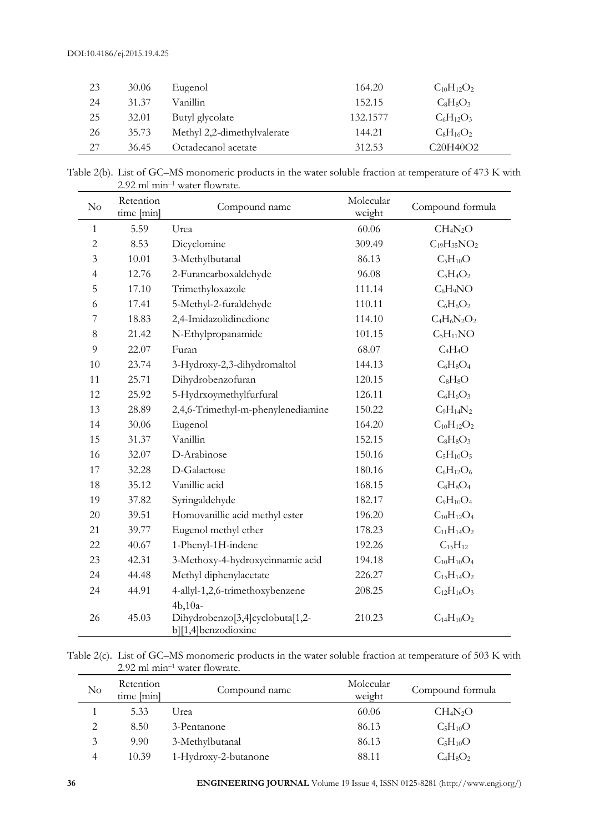| 23 | 30.06 | Eugenol                     | 164.20   | $C_{10}H_{12}O_2$                              |
|----|-------|-----------------------------|----------|------------------------------------------------|
| 24 | 31.37 | Vanillin                    | 152.15   | $C_8H_8O_3$                                    |
| 25 | 32.01 | Butyl glycolate             | 132.1577 | $C_6H_{12}O_3$                                 |
| 26 | 35.73 | Methyl 2,2-dimethylvalerate | 144.21   | $C_8H_{16}O_2$                                 |
| 27 | 36.45 | Octadecanol acetate         | 312.53   | C <sub>20</sub> H <sub>40</sub> O <sub>2</sub> |

| Table 2(b). List of GC–MS monomeric products in the water soluble fraction at temperature of 473 K with |
|---------------------------------------------------------------------------------------------------------|
| $2.92$ ml min <sup>-1</sup> water flowrate.                                                             |

| $\rm No$       | Retention<br>time [min] | Compound name                                                       | Molecular<br>weight | Compound formula                 |
|----------------|-------------------------|---------------------------------------------------------------------|---------------------|----------------------------------|
| 1              | 5.59                    | Urea                                                                | 60.06               | CH <sub>4</sub> N <sub>2</sub> O |
| $\overline{c}$ | 8.53                    | Dicyclomine                                                         | 309.49              | $C_{19}H_{35}NO_2$               |
| 3              | 10.01                   | 3-Methylbutanal                                                     | 86.13               | $C_5H_{10}O$                     |
| $\overline{4}$ | 12.76                   | 2-Furancarboxaldehyde                                               | 96.08               | $C_5H_4O_2$                      |
| 5              | 17.10                   | Trimethyloxazole                                                    | 111.14              | $C_6H_9NO$                       |
| 6              | 17.41                   | 5-Methyl-2-furaldehyde                                              | 110.11              | $C_6H_6O_2$                      |
| 7              | 18.83                   | 2,4-Imidazolidinedione                                              | 114.10              | $C_4H_6N_2O_2$                   |
| 8              | 21.42                   | N-Ethylpropanamide                                                  | 101.15              | $C_5H_{11}NO$                    |
| 9              | 22.07                   | Furan                                                               | 68.07               | $C_4H_4O$                        |
| 10             | 23.74                   | 3-Hydroxy-2,3-dihydromaltol                                         | 144.13              | $C_6H_8O_4$                      |
| 11             | 25.71                   | Dihydrobenzofuran                                                   | 120.15              | $C_8H_8O$                        |
| 12             | 25.92                   | 5-Hydrxoymethylfurfural                                             | 126.11              | $C_6H_6O_3$                      |
| 13             | 28.89                   | 2,4,6-Trimethyl-m-phenylenediamine                                  | 150.22              | $C_9H_{14}N_2$                   |
| 14             | 30.06                   | Eugenol                                                             | 164.20              | $C_{10}H_{12}O_2$                |
| 15             | 31.37                   | Vanillin                                                            | 152.15              | $C_8H_8O_3$                      |
| 16             | 32.07                   | D-Arabinose                                                         | 150.16              | $C_5H_{10}O_5$                   |
| 17             | 32.28                   | D-Galactose                                                         | 180.16              | $C_6H_{12}O_6$                   |
| 18             | 35.12                   | Vanillic acid                                                       | 168.15              | $C_8H_8O_4$                      |
| 19             | 37.82                   | Syringaldehyde                                                      | 182.17              | $C_9H_{10}O_4$                   |
| 20             | 39.51                   | Homovanillic acid methyl ester                                      | 196.20              | $C_{10}H_{12}O_4$                |
| 21             | 39.77                   | Eugenol methyl ether                                                | 178.23              | $C_{11}H_{14}O_2$                |
| 22             | 40.67                   | 1-Phenyl-1H-indene                                                  | 192.26              | $C_{15}H_{12}$                   |
| 23             | 42.31                   | 3-Methoxy-4-hydroxycinnamic acid                                    | 194.18              | $C_{10}H_{10}O_4$                |
| 24             | 44.48                   | Methyl diphenylacetate                                              | 226.27              | $C_{15}H_{14}O_2$                |
| 24             | 44.91                   | 4-allyl-1,2,6-trimethoxybenzene                                     | 208.25              | $C_{12}H_{16}O_3$                |
| 26             | 45.03                   | $4b,10a-$<br>Dihydrobenzo[3,4]cyclobuta[1,2-<br>b][1,4]benzodioxine | 210.23              | $C_{14}H_{10}O_2$                |

Table 2(c). List of GC–MS monomeric products in the water soluble fraction at temperature of 503 K with 2.92 ml min–<sup>1</sup> water flowrate.

| $\rm No$ | Retention<br>time [min] | Compound name        | Molecular<br>weight | Compound formula |
|----------|-------------------------|----------------------|---------------------|------------------|
|          | 5.33                    | Urea                 | 60.06               | $CH_4N_2O$       |
| 2        | 8.50                    | 3-Pentanone          | 86.13               | $C_5H_{10}O$     |
| 3        | 9.90                    | 3-Methylbutanal      | 86.13               | $C_5H_{10}O$     |
| 4        | 10.39                   | 1-Hydroxy-2-butanone | 88.11               | $C_4H_8O_2$      |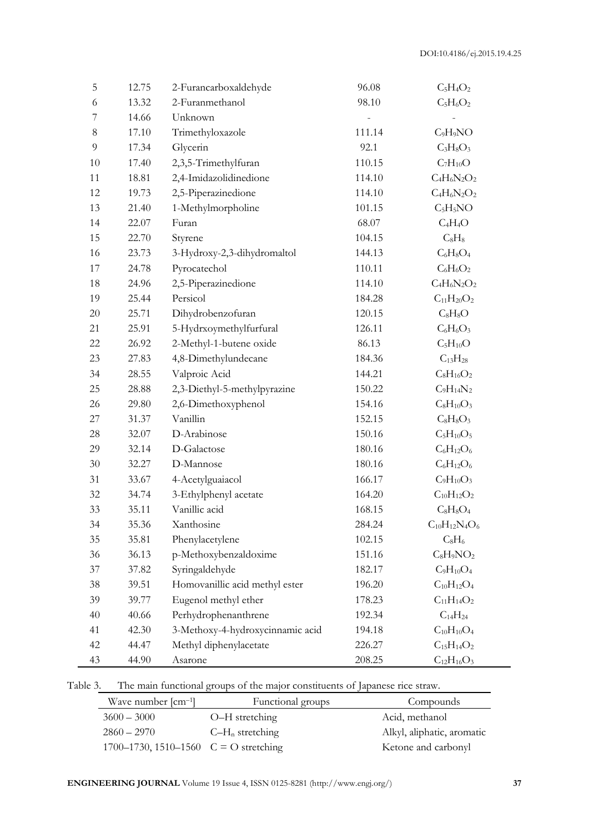| 5  | 12.75 | 2-Furancarboxaldehyde            | 96.08  | $C_5H_4O_2$          |
|----|-------|----------------------------------|--------|----------------------|
| 6  | 13.32 | 2-Furanmethanol                  | 98.10  | $C_5H_6O_2$          |
| 7  | 14.66 | Unknown                          |        |                      |
| 8  | 17.10 | Trimethyloxazole                 | 111.14 | $C_9H_9NO$           |
| 9  | 17.34 | Glycerin                         | 92.1   | $C_3H_8O_3$          |
| 10 | 17.40 | 2,3,5-Trimethylfuran             | 110.15 | $C_7H_{10}O$         |
| 11 | 18.81 | 2,4-Imidazolidinedione           | 114.10 | $C_4H_6N_2O_2$       |
| 12 | 19.73 | 2,5-Piperazinedione              | 114.10 | $C_4H_6N_2O_2$       |
| 13 | 21.40 | 1-Methylmorpholine               | 101.15 | $C_5H_5NO$           |
| 14 | 22.07 | Furan                            | 68.07  | $C_4H_4O$            |
| 15 | 22.70 | Styrene                          | 104.15 | $C_8H_8$             |
| 16 | 23.73 | 3-Hydroxy-2,3-dihydromaltol      | 144.13 | $C_6H_8O_4$          |
| 17 | 24.78 | Pyrocatechol                     | 110.11 | $C_6H_6O_2$          |
| 18 | 24.96 | 2,5-Piperazinedione              | 114.10 | $C_4H_6N_2O_2$       |
| 19 | 25.44 | Persicol                         | 184.28 | $C_{11}H_{20}O_2$    |
| 20 | 25.71 | Dihydrobenzofuran                | 120.15 | $C_8H_8O$            |
| 21 | 25.91 | 5-Hydrxoymethylfurfural          | 126.11 | $C_6H_6O_3$          |
| 22 | 26.92 | 2-Methyl-1-butene oxide          | 86.13  | $C_5H_{10}O$         |
| 23 | 27.83 | 4,8-Dimethylundecane             | 184.36 | $C_{13}H_{28}$       |
| 34 | 28.55 | Valproic Acid                    | 144.21 | $C_8H_{16}O_2$       |
| 25 | 28.88 | 2,3-Diethyl-5-methylpyrazine     | 150.22 | $C_9H_{14}N_2$       |
| 26 | 29.80 | 2,6-Dimethoxyphenol              | 154.16 | $\rm{C_8H_{10}O_3}$  |
| 27 | 31.37 | Vanillin                         | 152.15 | $C_8H_8O_3$          |
| 28 | 32.07 | D-Arabinose                      | 150.16 | $C_5H_{10}O_5$       |
| 29 | 32.14 | D-Galactose                      | 180.16 | $C_6H_{12}O_6$       |
| 30 | 32.27 | D-Mannose                        | 180.16 | $C_6H_{12}O_6$       |
| 31 | 33.67 | 4-Acetylguaiacol                 | 166.17 | $C_9H_{10}O_3$       |
| 32 | 34.74 | 3-Ethylphenyl acetate            | 164.20 | $C_{10}H_{12}O_2$    |
| 33 | 35.11 | Vanillic acid                    | 168.15 | $C_8H_8O_4$          |
| 34 | 35.36 | Xanthosine                       | 284.24 | $C_{10}H_{12}N_4O_6$ |
| 35 | 35.81 | Phenylacetylene                  | 102.15 | $C_8H_6$             |
| 36 | 36.13 | p-Methoxybenzaldoxime            | 151.16 | $C_8H_9NO_2$         |
| 37 | 37.82 | Syringaldehyde                   | 182.17 | $C_9H_{10}O_4$       |
| 38 | 39.51 | Homovanillic acid methyl ester   | 196.20 | $C_{10}H_{12}O_4$    |
| 39 | 39.77 | Eugenol methyl ether             | 178.23 | $C_{11}H_{14}O_2$    |
| 40 | 40.66 | Perhydrophenanthrene             | 192.34 | $C_{14}H_{24}$       |
| 41 | 42.30 | 3-Methoxy-4-hydroxycinnamic acid | 194.18 | $C_{10}H_{10}O_4$    |
| 42 | 44.47 | Methyl diphenylacetate           | 226.27 | $C_{15}H_{14}O_2$    |
| 43 | 44.90 | Asarone                          | 208.25 | $C_{12}H_{16}O_3$    |

Table 3. The main functional groups of the major constituents of Japanese rice straw.

| Wave number $\lceil$ cm <sup>-1</sup> $\rceil$ | Functional groups  | Compounds                  |
|------------------------------------------------|--------------------|----------------------------|
| $3600 - 3000$                                  | O-H stretching     | Acid, methanol             |
| $2860 - 2970$                                  | $C-H_n$ stretching | Alkyl, aliphatic, aromatic |
| 1700–1730, 1510–1560 $C = O$ stretching        |                    | Ketone and carbonyl        |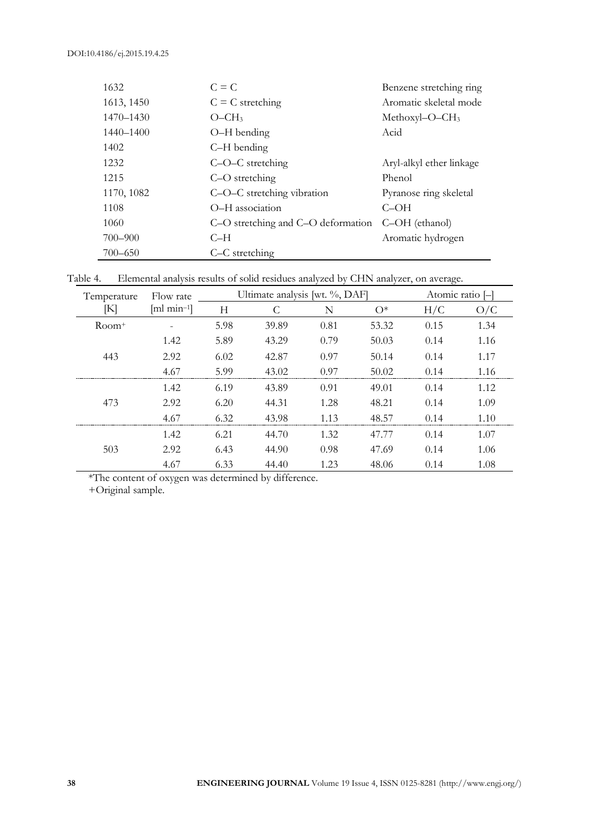| 1632        | $C = C$                            | Benzene stretching ring    |
|-------------|------------------------------------|----------------------------|
| 1613, 1450  | $C = C$ stretching                 | Aromatic skeletal mode     |
| 1470–1430   | $O - CH3$                          | Methoxyl-O-CH <sub>3</sub> |
| 1440–1400   | O-H bending                        | Acid                       |
| 1402        | C-H bending                        |                            |
| 1232        | C-O-C stretching                   | Aryl-alkyl ether linkage   |
| 1215        | C-O stretching                     | Phenol                     |
| 1170, 1082  | C-O-C stretching vibration         | Pyranose ring skeletal     |
| 1108        | O-H association                    | $C$ -OH                    |
| 1060        | C-O stretching and C-O deformation | C-OH (ethanol)             |
| 700-900     | $C-H$                              | Aromatic hydrogen          |
| $700 - 650$ | C-C stretching                     |                            |

Table 4. Elemental analysis results of solid residues analyzed by CHN analyzer, on average.

| Temperature | Flow rate                      | Ultimate analysis [wt. %, DAF] |       |       | Atomic ratio |      |          |
|-------------|--------------------------------|--------------------------------|-------|-------|--------------|------|----------|
| K           | $\left[\text{ml min=1}\right]$ | H                              |       | N     | $O^*$        | H/C  | O/C      |
| $Room+$     |                                | 5.98                           | 39.89 | 0.81  | 53.32        | 0.15 | 1.34     |
|             | 1.42                           | 5.89                           | 43.29 | 0.79  | 50.03        | 0.14 | 1.16     |
| 443         | 2.92                           | 6.02                           | 42.87 | 0.97  | 50.14        | 0.14 | 1.17     |
|             | 4.67                           | 5.99                           | 43.02 | 0.97  | 50.02        | በ 14 | 1.16     |
|             | 1.42                           | 6.19                           | 43.89 | 0.91  | 49.01        | 0.14 | 1.12     |
| 473         | 2.92                           | 6.20                           | 44.31 | 1.28  | 48.21        | 0.14 | 1.09     |
|             | 4.67                           | 6.32                           | 43.98 | 1 1 3 | 48.57        | 0.14 | 1.10<br> |
|             | 1.42                           | 6.21                           | 44.70 | 1.32  | 47.77        | 0.14 | 1.07     |
| 503         | 2.92                           | 6.43                           | 44.90 | 0.98  | 47.69        | 0.14 | 1.06     |
|             | 4.67                           | 6.33                           | 44.40 | 1.23  | 48.06        | 0.14 | 1.08     |

\*The content of oxygen was determined by difference.

+Original sample.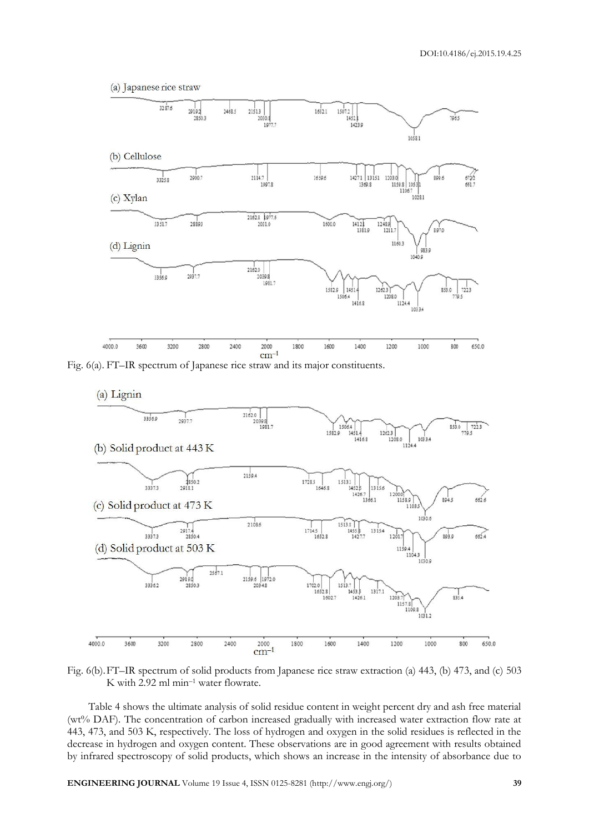(a) Japanese rice straw



Fig. 6(a). FT–IR spectrum of Japanese rice straw and its major constituents.



Fig. 6(b).FT–IR spectrum of solid products from Japanese rice straw extraction (a) 443, (b) 473, and (c) 503 K with 2.92 ml min–<sup>1</sup> water flowrate.

Table 4 shows the ultimate analysis of solid residue content in weight percent dry and ash free material (wt% DAF). The concentration of carbon increased gradually with increased water extraction flow rate at 443, 473, and 503 K, respectively. The loss of hydrogen and oxygen in the solid residues is reflected in the decrease in hydrogen and oxygen content. These observations are in good agreement with results obtained by infrared spectroscopy of solid products, which shows an increase in the intensity of absorbance due to

**ENGINEERING JOURNAL** Volume 19 Issue 4, ISSN 0125-8281 (http://www.engj.org/) **39**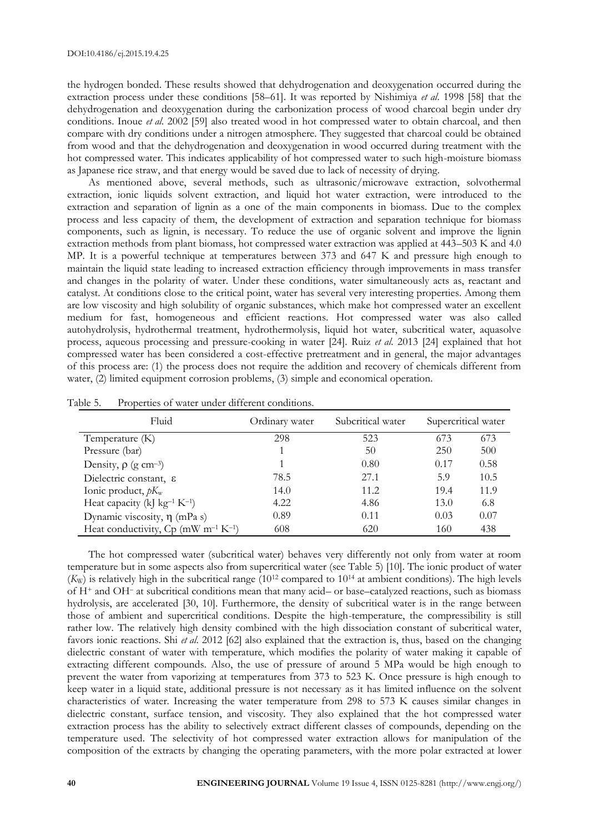the hydrogen bonded. These results showed that dehydrogenation and deoxygenation occurred during the extraction process under these conditions [58–61]. It was reported by Nishimiya *et al*. 1998 [58] that the dehydrogenation and deoxygenation during the carbonization process of wood charcoal begin under dry conditions. Inoue *et al*. 2002 [59] also treated wood in hot compressed water to obtain charcoal, and then compare with dry conditions under a nitrogen atmosphere. They suggested that charcoal could be obtained from wood and that the dehydrogenation and deoxygenation in wood occurred during treatment with the hot compressed water. This indicates applicability of hot compressed water to such high-moisture biomass as Japanese rice straw, and that energy would be saved due to lack of necessity of drying.

As mentioned above, several methods, such as ultrasonic/microwave extraction, solvothermal extraction, ionic liquids solvent extraction, and liquid hot water extraction, were introduced to the extraction and separation of lignin as a one of the main components in biomass. Due to the complex process and less capacity of them, the development of extraction and separation technique for biomass components, such as lignin, is necessary. To reduce the use of organic solvent and improve the lignin extraction methods from plant biomass, hot compressed water extraction was applied at 443–503 K and 4.0 MP. It is a powerful technique at temperatures between 373 and 647 K and pressure high enough to maintain the liquid state leading to increased extraction efficiency through improvements in mass transfer and changes in the polarity of water. Under these conditions, water simultaneously acts as, reactant and catalyst. At conditions close to the critical point, water has several very interesting properties. Among them are low viscosity and high solubility of organic substances, which make hot compressed water an excellent medium for fast, homogeneous and efficient reactions. Hot compressed water was also called autohydrolysis, hydrothermal treatment, hydrothermolysis, liquid hot water, subcritical water, aquasolve process, aqueous processing and pressure-cooking in water [24]. Ruiz *et al*. 2013 [24] explained that hot compressed water has been considered a cost-effective pretreatment and in general, the major advantages of this process are: (1) the process does not require the addition and recovery of chemicals different from water, (2) limited equipment corrosion problems, (3) simple and economical operation.

| Fluid                                                         | Ordinary water | Subcritical water | Supercritical water |      |
|---------------------------------------------------------------|----------------|-------------------|---------------------|------|
| Temperature (K)                                               | 298            | 523               | 673                 | 673  |
| Pressure (bar)                                                |                | 50                | 250                 | 500  |
| Density, $\rho$ (g cm <sup>-3</sup> )                         |                | 0.80              | 0.17                | 0.58 |
| Dielectric constant, &                                        | 78.5           | 27.1              | 5.9                 | 10.5 |
| Ionic product, $pK_w$                                         | 14.0           | 11.2.             | 19.4                | 11.9 |
| Heat capacity (kJ kg <sup>-1</sup> K <sup>-1</sup> )          | 4.22           | 4.86              | 13.0                | 6.8  |
| Dynamic viscosity, $\eta$ (mPa s)                             | 0.89           | 0.11              | 0.03                | 0.07 |
| Heat conductivity, $Cp$ (mW m <sup>-1</sup> K <sup>-1</sup> ) | 608            | 620               | 160                 | 438  |

Table 5. Properties of water under different conditions.

The hot compressed water (subcritical water) behaves very differently not only from water at room temperature but in some aspects also from supercritical water (see Table 5) [10]. The ionic product of water  $(K_{\text{W}})$  is relatively high in the subcritical range (10<sup>12</sup> compared to 10<sup>14</sup> at ambient conditions). The high levels of H<sup>+</sup> and OH– at subcritical conditions mean that many acid– or base–catalyzed reactions, such as biomass hydrolysis, are accelerated [30, 10]. Furthermore, the density of subcritical water is in the range between those of ambient and supercritical conditions. Despite the high-temperature, the compressibility is still rather low. The relatively high density combined with the high dissociation constant of subcritical water, favors ionic reactions. Shi *et al*. 2012 [62] also explained that the extraction is, thus, based on the changing dielectric constant of water with temperature, which modifies the polarity of water making it capable of extracting different compounds. Also, the use of pressure of around 5 MPa would be high enough to prevent the water from vaporizing at temperatures from 373 to 523 K. Once pressure is high enough to keep water in a liquid state, additional pressure is not necessary as it has limited influence on the solvent characteristics of water. Increasing the water temperature from 298 to 573 K causes similar changes in dielectric constant, surface tension, and viscosity. They also explained that the hot compressed water extraction process has the ability to selectively extract different classes of compounds, depending on the temperature used. The selectivity of hot compressed water extraction allows for manipulation of the composition of the extracts by changing the operating parameters, with the more polar extracted at lower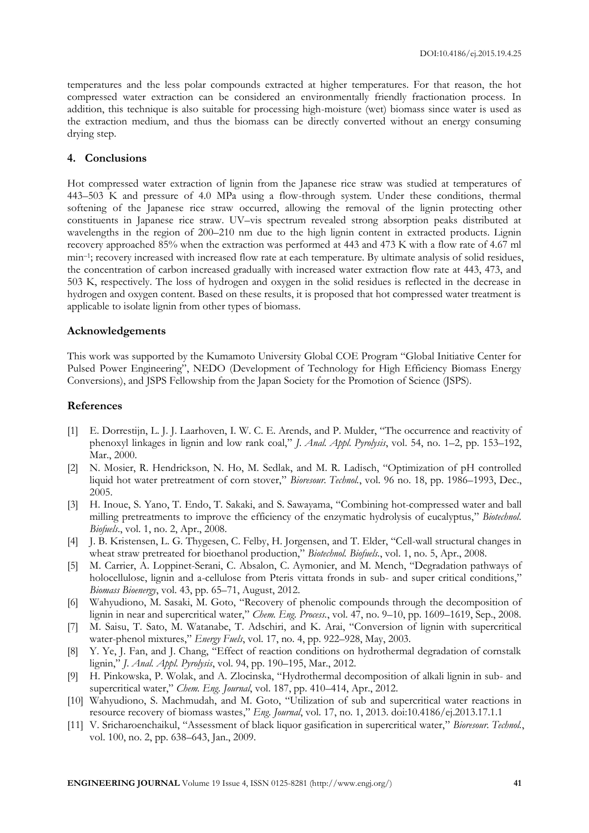temperatures and the less polar compounds extracted at higher temperatures. For that reason, the hot compressed water extraction can be considered an environmentally friendly fractionation process. In addition, this technique is also suitable for processing high-moisture (wet) biomass since water is used as the extraction medium, and thus the biomass can be directly converted without an energy consuming drying step.

### **4. Conclusions**

Hot compressed water extraction of lignin from the Japanese rice straw was studied at temperatures of 443–503 K and pressure of 4.0 MPa using a flow-through system. Under these conditions, thermal softening of the Japanese rice straw occurred, allowing the removal of the lignin protecting other constituents in Japanese rice straw. UV–vis spectrum revealed strong absorption peaks distributed at wavelengths in the region of 200–210 nm due to the high lignin content in extracted products. Lignin recovery approached 85% when the extraction was performed at 443 and 473 K with a flow rate of 4.67 ml min–<sup>1</sup> ; recovery increased with increased flow rate at each temperature. By ultimate analysis of solid residues, the concentration of carbon increased gradually with increased water extraction flow rate at 443, 473, and 503 K, respectively. The loss of hydrogen and oxygen in the solid residues is reflected in the decrease in hydrogen and oxygen content. Based on these results, it is proposed that hot compressed water treatment is applicable to isolate lignin from other types of biomass.

#### **Acknowledgements**

This work was supported by the Kumamoto University Global COE Program "Global Initiative Center for Pulsed Power Engineering", NEDO (Development of Technology for High Efficiency Biomass Energy Conversions), and JSPS Fellowship from the Japan Society for the Promotion of Science (JSPS).

### **References**

- [1] E. Dorrestijn, L. J. J. Laarhoven, I. W. C. E. Arends, and P. Mulder, "The occurrence and reactivity of phenoxyl linkages in lignin and low rank coal," *J. Anal. Appl. Pyrolysis*, vol. 54, no. 1–2, pp. 153–192, Mar., 2000.
- [2] N. Mosier, R. Hendrickson, N. Ho, M. Sedlak, and M. R. Ladisch, "Optimization of pH controlled liquid hot water pretreatment of corn stover," *Bioresour. Technol.*, vol. 96 no. 18, pp. 1986–1993, Dec., 2005.
- [3] H. Inoue, S. Yano, T. Endo, T. Sakaki, and S. Sawayama, "Combining hot-compressed water and ball milling pretreatments to improve the efficiency of the enzymatic hydrolysis of eucalyptus," *Biotechnol. Biofuels*., vol. 1, no. 2, Apr., 2008.
- [4] J. B. Kristensen, L. G. Thygesen, C. Felby, H. Jorgensen, and T. Elder, "Cell-wall structural changes in wheat straw pretreated for bioethanol production," *Biotechnol. Biofuels.*, vol. 1, no. 5, Apr., 2008.
- [5] M. Carrier, A. Loppinet-Serani, C. Absalon, C. Aymonier, and M. Mench, "Degradation pathways of holocellulose, lignin and a-cellulose from Pteris vittata fronds in sub- and super critical conditions," *Biomass Bioenergy*, vol. 43, pp. 65–71, August, 2012.
- [6] Wahyudiono, M. Sasaki, M. Goto, "Recovery of phenolic compounds through the decomposition of lignin in near and supercritical water," *Chem. Eng. Process.*, vol. 47, no. 9–10, pp. 1609–1619, Sep., 2008.
- [7] M. Saisu, T. Sato, M. Watanabe, T. Adschiri, and K. Arai, "Conversion of lignin with supercritical water-phenol mixtures," *Energy Fuels*, vol. 17, no. 4, pp. 922–928, May, 2003.
- [8] Y. Ye, J. Fan, and J. Chang, "Effect of reaction conditions on hydrothermal degradation of cornstalk lignin," *J. Anal. Appl. Pyrolysis*, vol. 94, pp. 190–195, Mar., 2012.
- [9] H. Pinkowska, P. Wolak, and A. Zlocinska, "Hydrothermal decomposition of alkali lignin in sub- and supercritical water," *Chem. Eng. Journal*, vol. 187, pp. 410–414, Apr., 2012.
- [10] Wahyudiono, S. Machmudah, and M. Goto, "Utilization of sub and supercritical water reactions in resource recovery of biomass wastes," *Eng. Journal*, vol. 17, no. 1, 2013. doi:10.4186/ej.2013.17.1.1
- [11] V. Sricharoenchaikul, "Assessment of black liquor gasification in supercritical water," *Bioresour. Technol.*, vol. 100, no. 2, pp. 638–643, Jan., 2009.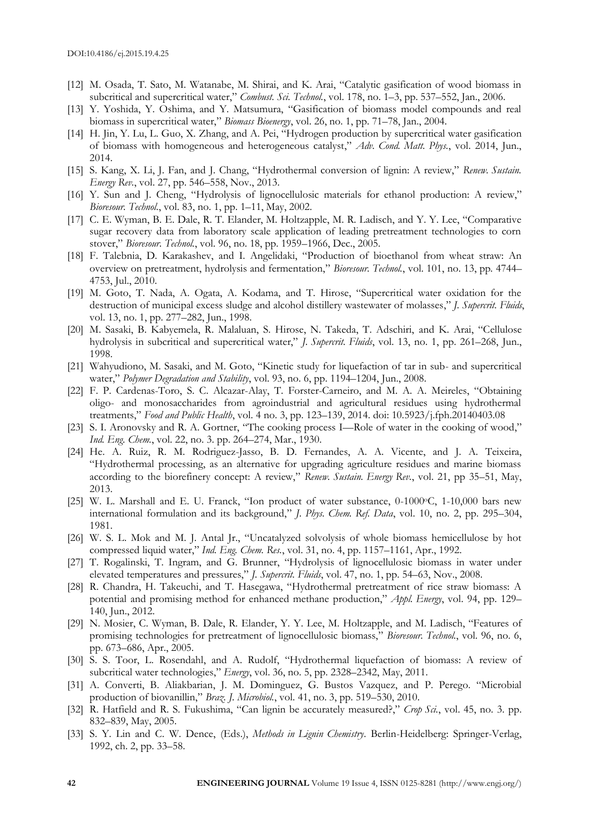- [12] M. Osada, T. Sato, M. Watanabe, M. Shirai, and K. Arai, "Catalytic gasification of wood biomass in subcritical and supercritical water," *Combust. Sci. Technol.*, vol. 178, no. 1–3, pp. 537–552, Jan., 2006.
- [13] Y. Yoshida, Y. Oshima, and Y. Matsumura, "Gasification of biomass model compounds and real biomass in supercritical water," *Biomass Bioenergy*, vol. 26, no. 1, pp. 71–78, Jan., 2004.
- [14] H. Jin, Y. Lu, L. Guo, X. Zhang, and A. Pei, "Hydrogen production by supercritical water gasification of biomass with homogeneous and heterogeneous catalyst," *Adv. Cond. Matt. Phys.*, vol. 2014, Jun., 2014.
- [15] S. Kang, X. Li, J. Fan, and J. Chang, "Hydrothermal conversion of lignin: A review," *Renew. Sustain. Energy Rev.*, vol. 27, pp. 546–558, Nov., 2013.
- [16] Y. Sun and J. Cheng, "Hydrolysis of lignocellulosic materials for ethanol production: A review," *Bioresour. Technol.*, vol. 83, no. 1, pp. 1–11, May, 2002.
- [17] C. E. Wyman, B. E. Dale, R. T. Elander, M. Holtzapple, M. R. Ladisch, and Y. Y. Lee, "Comparative sugar recovery data from laboratory scale application of leading pretreatment technologies to corn stover," *Bioresour. Technol.*, vol. 96, no. 18, pp. 1959–1966, Dec., 2005.
- [18] F. Talebnia, D. Karakashev, and I. Angelidaki, "Production of bioethanol from wheat straw: An overview on pretreatment, hydrolysis and fermentation," *Bioresour. Technol.*, vol. 101, no. 13, pp. 4744– 4753, Jul., 2010.
- [19] M. Goto, T. Nada, A. Ogata, A. Kodama, and T. Hirose, "Supercritical water oxidation for the destruction of municipal excess sludge and alcohol distillery wastewater of molasses," *J. Supercrit. Fluids*, vol. 13, no. 1, pp. 277–282, Jun., 1998.
- [20] M. Sasaki, B. Kabyemela, R. Malaluan, S. Hirose, N. Takeda, T. Adschiri, and K. Arai, "Cellulose hydrolysis in subcritical and supercritical water," *J. Supercrit. Fluids*, vol. 13, no. 1, pp. 261–268, Jun., 1998.
- [21] Wahyudiono, M. Sasaki, and M. Goto, "Kinetic study for liquefaction of tar in sub- and supercritical water," *Polymer Degradation and Stability*, vol. 93, no. 6, pp. 1194–1204, Jun., 2008.
- [22] F. P. Cardenas-Toro, S. C. Alcazar-Alay, T. Forster-Carneiro, and M. A. A. Meireles, "Obtaining oligo- and monosaccharides from agroindustrial and agricultural residues using hydrothermal treatments," *Food and Public Health*, vol. 4 no. 3, pp. 123–139, 2014. doi: 10.5923/j.fph.20140403.08
- [23] S. I. Aronovsky and R. A. Gortner, "The cooking process I—Role of water in the cooking of wood," *Ind. Eng. Chem.*, vol. 22, no. 3. pp. 264–274, Mar., 1930.
- [24] He. A. Ruiz, R. M. Rodriguez-Jasso, B. D. Fernandes, A. A. Vicente, and J. A. Teixeira, "Hydrothermal processing, as an alternative for upgrading agriculture residues and marine biomass according to the biorefinery concept: A review," *Renew. Sustain. Energy Rev.*, vol. 21, pp 35–51, May, 2013.
- [25] W. L. Marshall and E. U. Franck, "Ion product of water substance, 0-1000°C, 1-10,000 bars new international formulation and its background," *J. Phys. Chem. Ref. Data*, vol. 10, no. 2, pp. 295–304, 1981.
- [26] W. S. L. Mok and M. J. Antal Jr., "Uncatalyzed solvolysis of whole biomass hemicellulose by hot compressed liquid water," *Ind. Eng. Chem. Res.*, vol. 31, no. 4, pp. 1157–1161, Apr., 1992.
- [27] T. Rogalinski, T. Ingram, and G. Brunner, "Hydrolysis of lignocellulosic biomass in water under elevated temperatures and pressures," *J. Supercrit. Fluids*, vol. 47, no. 1, pp. 54–63, Nov., 2008.
- [28] R. Chandra, H. Takeuchi, and T. Hasegawa, "Hydrothermal pretreatment of rice straw biomass: A potential and promising method for enhanced methane production," *Appl. Energy*, vol. 94, pp. 129– 140, Jun., 2012.
- [29] N. Mosier, C. Wyman, B. Dale, R. Elander, Y. Y. Lee, M. Holtzapple, and M. Ladisch, "Features of promising technologies for pretreatment of lignocellulosic biomass," *Bioresour. Technol.*, vol. 96, no. 6, pp. 673–686, Apr., 2005.
- [30] S. S. Toor, L. Rosendahl, and A. Rudolf, "Hydrothermal liquefaction of biomass: A review of subcritical water technologies," *Energy*, vol. 36, no. 5, pp. 2328–2342, May, 2011.
- [31] A. Converti, B. Aliakbarian, J. M. Dominguez, G. Bustos Vazquez, and P. Perego. "Microbial production of biovanillin," *Braz. J. Microbiol.*, vol. 41, no. 3, pp. 519–530, 2010.
- [32] R. Hatfield and R. S. Fukushima, "Can lignin be accurately measured?," *Crop Sci.*, vol. 45, no. 3. pp. 832–839, May, 2005.
- [33] S. Y. Lin and C. W. Dence, (Eds.), *Methods in Lignin Chemistry*. Berlin-Heidelberg: Springer-Verlag, 1992, ch. 2, pp. 33–58.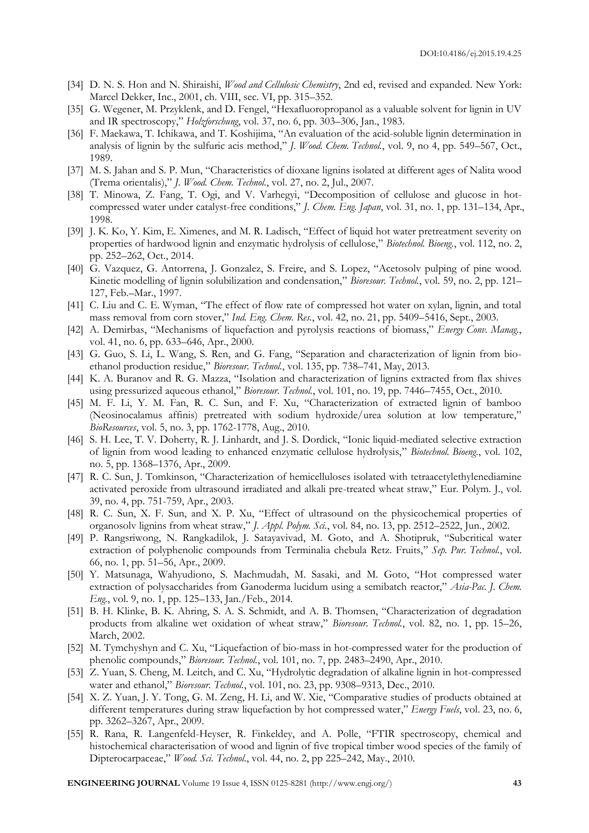- [34] D. N. S. Hon and N. Shiraishi, *Wood and Cellulosic Chemistry*, 2nd ed, revised and expanded. New York: Marcel Dekker, Inc., 2001, ch. VIII, sec. VI, pp. 315–352.
- [35] G. Wegener, M. Przyklenk, and D. Fengel, "Hexafluoropropanol as a valuable solvent for lignin in UV and IR spectroscopy," *Holzforschung*, vol. 37, no. 6, pp. 303–306, Jan., 1983.
- [36] F. Maekawa, T. Ichikawa, and T. Koshijima, "An evaluation of the acid-soluble lignin determination in analysis of lignin by the sulfuric acis method," *J. Wood. Chem. Technol.*, vol. 9, no 4, pp. 549–567, Oct., 1989.
- [37] M. S. Jahan and S. P. Mun, "Characteristics of dioxane lignins isolated at different ages of Nalita wood (Trema orientalis)," *J. Wood. Chem. Technol.*, vol. 27, no. 2, Jul., 2007.
- [38] T. Minowa, Z. Fang, T. Ogi, and V. Varhegyi, "Decomposition of cellulose and glucose in hotcompressed water under catalyst-free conditions," *J. Chem. Eng. Japan*, vol. 31, no. 1, pp. 131–134, Apr., 1998.
- [39] J. K. Ko, Y. Kim, E. Ximenes, and M. R. Ladisch, "Effect of liquid hot water pretreatment severity on properties of hardwood lignin and enzymatic hydrolysis of cellulose," *Biotechnol. Bioeng.*, vol. 112, no. 2, pp. 252–262, Oct., 2014.
- [40] G. Vazquez, G. Antorrena, J. Gonzalez, S. Freire, and S. Lopez, "Acetosolv pulping of pine wood. Kinetic modelling of lignin solubilization and condensation," *Bioresour. Technol.*, vol. 59, no. 2, pp. 121– 127, Feb.–Mar., 1997.
- [41] C. Liu and C. E. Wyman, "The effect of flow rate of compressed hot water on xylan, lignin, and total mass removal from corn stover," *Ind. Eng. Chem. Res.*, vol. 42, no. 21, pp. 5409–5416, Sept., 2003.
- [42] A. Demirbas, "Mechanisms of liquefaction and pyrolysis reactions of biomass," *Energy Conv. Manag.*, vol. 41, no. 6, pp. 633–646, Apr., 2000.
- [43] G. Guo, S. Li, L. Wang, S. Ren, and G. Fang, "Separation and characterization of lignin from bioethanol production residue," *Bioresour. Technol.*, vol. 135, pp. 738–741, May, 2013.
- [44] K. A. Buranov and R. G. Mazza, "Isolation and characterization of lignins extracted from flax shives using pressurized aqueous ethanol," *Bioresour. Technol.*, vol. 101, no. 19, pp. 7446–7455, Oct., 2010.
- [45] M. F. Li, Y. M. Fan, R. C. Sun, and F. Xu, "Characterization of extracted lignin of bamboo (Neosinocalamus affinis) pretreated with sodium hydroxide/urea solution at low temperature," *BioResources*, vol. 5, no. 3, pp. 1762-1778, Aug., 2010.
- [46] S. H. Lee, T. V. Doherty, R. J. Linhardt, and J. S. Dordick, "Ionic liquid-mediated selective extraction of lignin from wood leading to enhanced enzymatic cellulose hydrolysis," *Biotechnol. Bioeng.*, vol. 102, no. 5, pp. 1368–1376, Apr., 2009.
- [47] R. C. Sun, J. Tomkinson, "Characterization of hemicelluloses isolated with tetraacetylethylenediamine activated peroxide from ultrasound irradiated and alkali pre-treated wheat straw," Eur. Polym. J., vol. 39, no. 4, pp. 751-759, Apr., 2003.
- [48] R. C. Sun, X. F. Sun, and X. P. Xu, "Effect of ultrasound on the physicochemical properties of organosolv lignins from wheat straw," *J. Appl. Polym. Sci.*, vol. 84, no. 13, pp. 2512–2522, Jun., 2002.
- [49] P. Rangsriwong, N. Rangkadilok, J. Satayavivad, M. Goto, and A. Shotipruk, "Subcritical water extraction of polyphenolic compounds from Terminalia chebula Retz. Fruits," *Sep. Pur. Technol.*, vol. 66, no. 1, pp. 51–56, Apr., 2009.
- [50] Y. Matsunaga, Wahyudiono, S. Machmudah, M. Sasaki, and M. Goto, "Hot compressed water extraction of polysaccharides from Ganoderma lucidum using a semibatch reactor," *Asia-Pac. J. Chem. Eng.*, vol. 9, no. 1, pp. 125–133, Jan./Feb., 2014.
- [51] B. H. Klinke, B. K. Ahring, S. A. S. Schmidt, and A. B. Thomsen, "Characterization of degradation products from alkaline wet oxidation of wheat straw," *Bioresour. Technol.*, vol. 82, no. 1, pp. 15–26, March, 2002.
- [52] M. Tymchyshyn and C. Xu, "Liquefaction of bio-mass in hot-compressed water for the production of phenolic compounds," *Bioresour. Technol.*, vol. 101, no. 7, pp. 2483–2490, Apr., 2010.
- [53] Z. Yuan, S. Cheng, M. Leitch, and C. Xu, "Hydrolytic degradation of alkaline lignin in hot-compressed water and ethanol," *Bioresour. Technol.*, vol. 101, no. 23, pp. 9308–9313, Dec., 2010.
- [54] X. Z. Yuan, J. Y. Tong, G. M. Zeng, H. Li, and W. Xie, "Comparative studies of products obtained at different temperatures during straw liquefaction by hot compressed water," *Energy Fuels*, vol. 23, no. 6, pp. 3262–3267, Apr., 2009.
- [55] R. Rana, R. Langenfeld-Heyser, R. Finkeldey, and A. Polle, "FTIR spectroscopy, chemical and histochemical characterisation of wood and lignin of five tropical timber wood species of the family of Dipterocarpaceae," *Wood. Sci. Technol.*, vol. 44, no. 2, pp 225–242, May., 2010.

**ENGINEERING JOURNAL** Volume 19 Issue 4, ISSN 0125-8281 (http://www.engj.org/) **43**